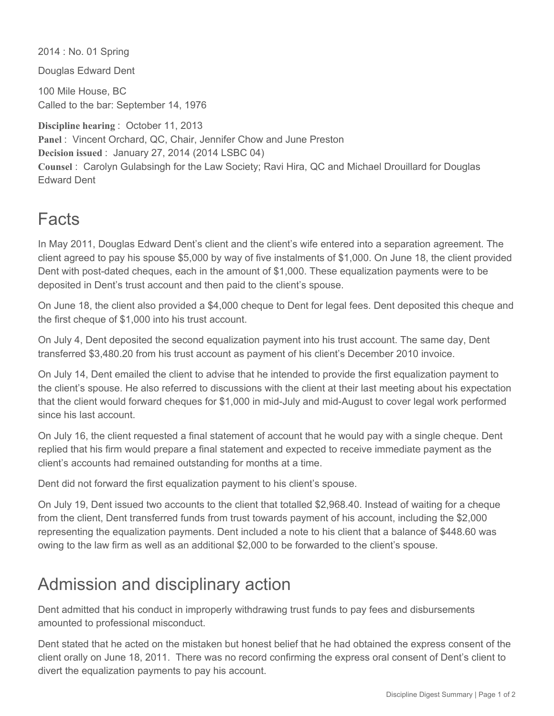2014 : No. 01 Spring

Douglas Edward Dent

100 Mile House, BC Called to the bar: September 14, 1976

**Discipline hearing** : October 11, 2013 Panel : Vincent Orchard, QC, Chair, Jennifer Chow and June Preston **Decision issued** : January 27, 2014 (2014 LSBC 04) **Counsel** : Carolyn Gulabsingh for the Law Society; Ravi Hira, QC and Michael Drouillard for Douglas Edward Dent

## Facts

In May 2011, Douglas Edward Dent's client and the client's wife entered into a separation agreement. The client agreed to pay his spouse \$5,000 by way of five instalments of \$1,000. On June 18, the client provided Dent with post-dated cheques, each in the amount of \$1,000. These equalization payments were to be deposited in Dent's trust account and then paid to the client's spouse.

On June 18, the client also provided a \$4,000 cheque to Dent for legal fees. Dent deposited this cheque and the first cheque of \$1,000 into his trust account.

On July 4, Dent deposited the second equalization payment into his trust account. The same day, Dent transferred \$3,480.20 from his trust account as payment of his client's December 2010 invoice.

On July 14, Dent emailed the client to advise that he intended to provide the first equalization payment to the client's spouse. He also referred to discussions with the client at their last meeting about his expectation that the client would forward cheques for \$1,000 in mid-July and mid-August to cover legal work performed since his last account.

On July 16, the client requested a final statement of account that he would pay with a single cheque. Dent replied that his firm would prepare a final statement and expected to receive immediate payment as the client's accounts had remained outstanding for months at a time.

Dent did not forward the first equalization payment to his client's spouse.

On July 19, Dent issued two accounts to the client that totalled \$2,968.40. Instead of waiting for a cheque from the client, Dent transferred funds from trust towards payment of his account, including the \$2,000 representing the equalization payments. Dent included a note to his client that a balance of \$448.60 was owing to the law firm as well as an additional \$2,000 to be forwarded to the client's spouse.

## Admission and disciplinary action

Dent admitted that his conduct in improperly withdrawing trust funds to pay fees and disbursements amounted to professional misconduct.

Dent stated that he acted on the mistaken but honest belief that he had obtained the express consent of the client orally on June 18, 2011. There was no record confirming the express oral consent of Dent's client to divert the equalization payments to pay his account.